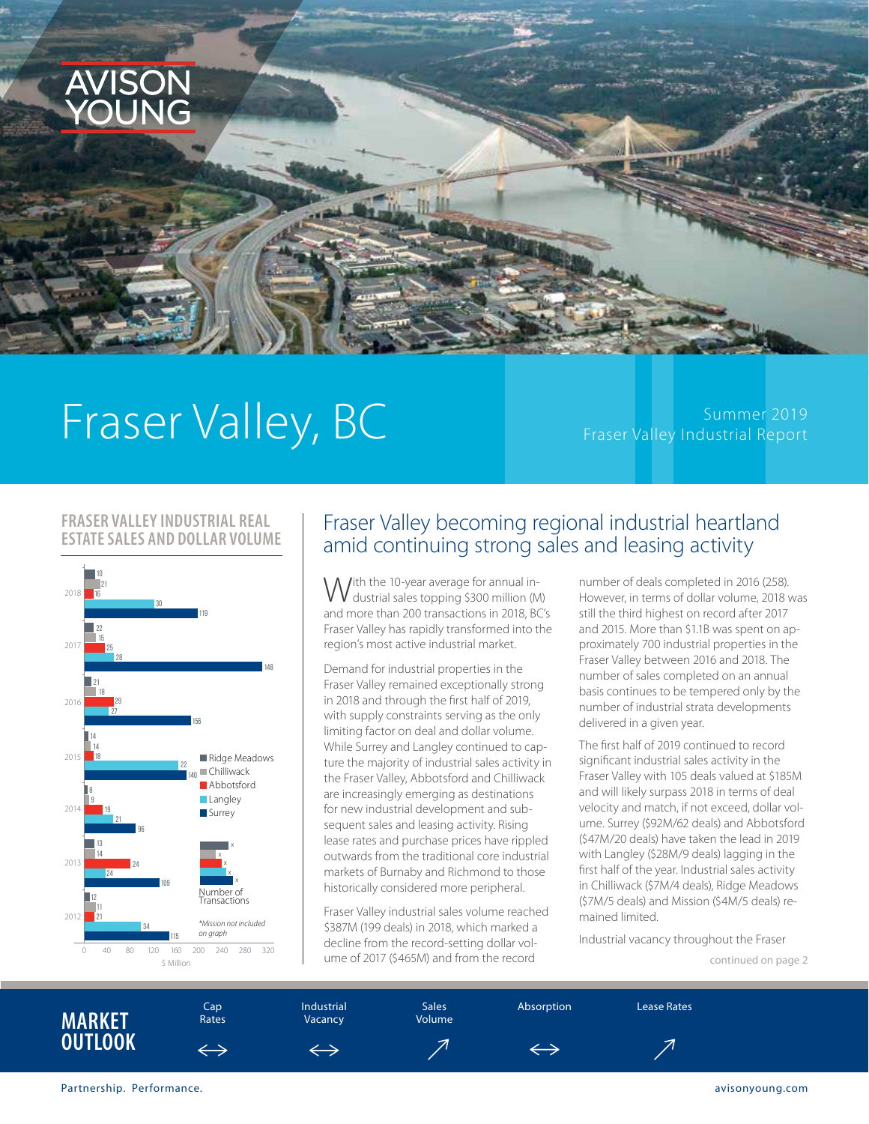

# Fraser Valley, BC Fraser Valley Industrial Report

### **FRASER VALLEY INDUSTRIAL REAL ESTATE SALES AND DOLLAR VOLUME**



### Fraser Valley becoming regional industrial heartland amid continuing strong sales and leasing activity

With the 10-year average for annual industrial sales topping \$300 million (M) and more than 200 transactions in 2018, BC's Fraser Valley has rapidly transformed into the region's most active industrial market.

Demand for industrial properties in the Fraser Valley remained exceptionally strong in 2018 and through the first half of 2019, with supply constraints serving as the only limiting factor on deal and dollar volume. While Surrey and Langley continued to capture the majority of industrial sales activity in the Fraser Valley, Abbotsford and Chilliwack are increasingly emerging as destinations for new industrial development and subsequent sales and leasing activity. Rising lease rates and purchase prices have rippled outwards from the traditional core industrial markets of Burnaby and Richmond to those historically considered more peripheral.

Fraser Valley industrial sales volume reached \$387M (199 deals) in 2018, which marked a decline from the record-setting dollar volume of 2017 (\$465M) and from the record

number of deals completed in 2016 (258). However, in terms of dollar volume, 2018 was still the third highest on record after 2017 and 2015. More than \$1.1B was spent on approximately 700 industrial properties in the Fraser Valley between 2016 and 2018. The number of sales completed on an annual basis continues to be tempered only by the number of industrial strata developments delivered in a given year.

The first half of 2019 continued to record significant industrial sales activity in the Fraser Valley with 105 deals valued at \$185M and will likely surpass 2018 in terms of deal velocity and match, if not exceed, dollar volume. Surrey (\$92M/62 deals) and Abbotsford (\$47M/20 deals) have taken the lead in 2019 with Langley (\$28M/9 deals) lagging in the first half of the year. Industrial sales activity in Chilliwack (\$7M/4 deals), Ridge Meadows (\$7M/5 deals) and Mission (\$4M/5 deals) remained limited.

Industrial vacancy throughout the Fraser

continued on page 2

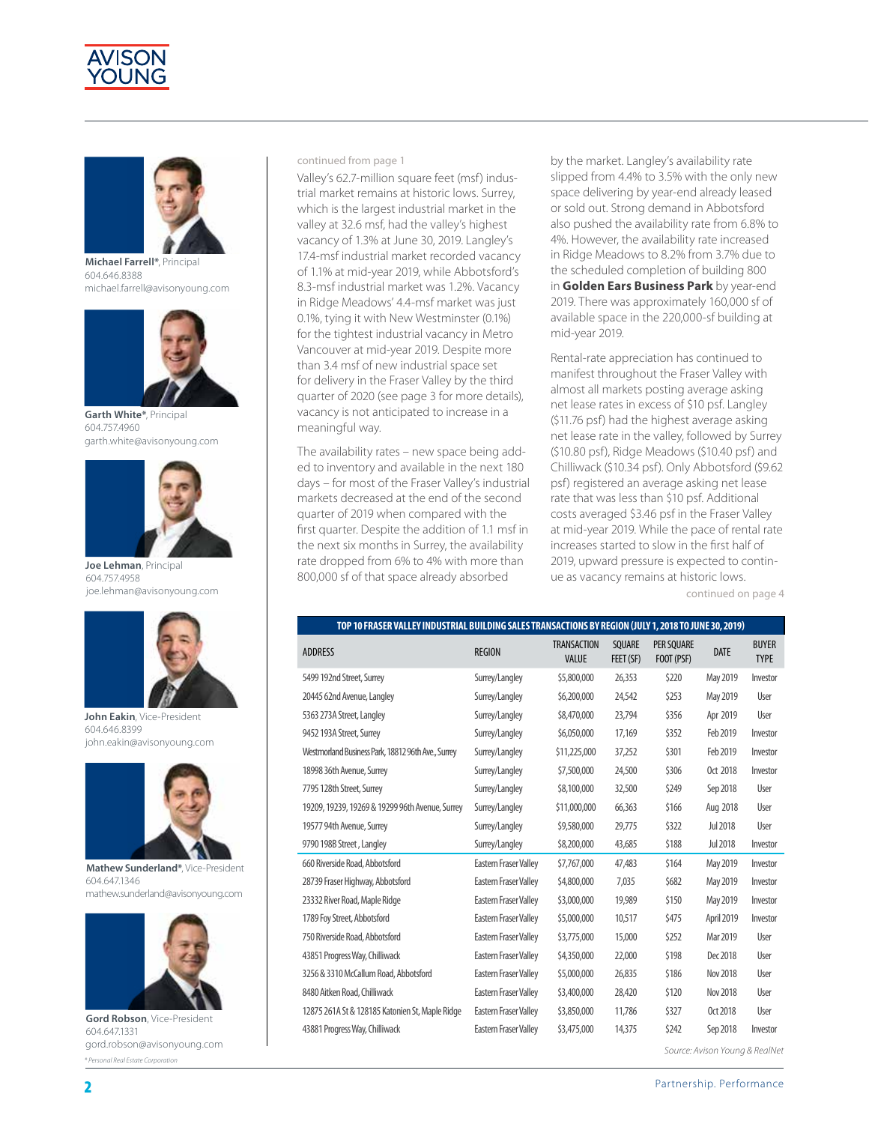



**Michael Farrell\***, Principal 604.646.8388 michael.farrell@avisonyoung.com



**Garth White\***, Principal 604.757.4960 garth.white@avisonyoung.com



**Joe Lehman**, Principal 604.757.4958 joe.lehman@avisonyoung.com



**John Eakin**, Vice-President 604.646.8399 john.eakin@avisonyoung.com



**Mathew Sunderland\***, Vice-President 604.647.1346 mathew.sunderland@avisonyoung.com



**Gord Robson**, Vice-President 604.647.1331 gord.robson@avisonyoung.com *\* Personal Real Estate Corporation*

### continued from page 1

Valley's 62.7-million square feet (msf) industrial market remains at historic lows. Surrey, which is the largest industrial market in the valley at 32.6 msf, had the valley's highest vacancy of 1.3% at June 30, 2019. Langley's 17.4-msf industrial market recorded vacancy of 1.1% at mid-year 2019, while Abbotsford's 8.3-msf industrial market was 1.2%. Vacancy in Ridge Meadows' 4.4-msf market was just 0.1%, tying it with New Westminster (0.1%) for the tightest industrial vacancy in Metro Vancouver at mid-year 2019. Despite more than 3.4 msf of new industrial space set for delivery in the Fraser Valley by the third quarter of 2020 (see page 3 for more details), vacancy is not anticipated to increase in a meaningful way.

The availability rates – new space being added to inventory and available in the next 180 days – for most of the Fraser Valley's industrial markets decreased at the end of the second quarter of 2019 when compared with the first quarter. Despite the addition of 1.1 msf in the next six months in Surrey, the availability rate dropped from 6% to 4% with more than 800,000 sf of that space already absorbed

by the market. Langley's availability rate slipped from 4.4% to 3.5% with the only new space delivering by year-end already leased or sold out. Strong demand in Abbotsford also pushed the availability rate from 6.8% to 4%. However, the availability rate increased in Ridge Meadows to 8.2% from 3.7% due to the scheduled completion of building 800 in **Golden Ears Business Park** by year-end 2019. There was approximately 160,000 sf of available space in the 220,000-sf building at mid-year 2019.

Rental-rate appreciation has continued to manifest throughout the Fraser Valley with almost all markets posting average asking net lease rates in excess of \$10 psf. Langley (\$11.76 psf) had the highest average asking net lease rate in the valley, followed by Surrey (\$10.80 psf), Ridge Meadows (\$10.40 psf) and Chilliwack (\$10.34 psf). Only Abbotsford (\$9.62 psf) registered an average asking net lease rate that was less than \$10 psf. Additional costs averaged \$3.46 psf in the Fraser Valley at mid-year 2019. While the pace of rental rate increases started to slow in the first half of 2019, upward pressure is expected to continue as vacancy remains at historic lows.

continued on page 4

| TOP 10 FRASER VALLEY INDUSTRIAL BUILDING SALES TRANSACTIONS BY REGION (JULY 1, 2018 TO JUNE 30, 2019) |                              |                                    |                            |                          |                 |                             |  |  |  |
|-------------------------------------------------------------------------------------------------------|------------------------------|------------------------------------|----------------------------|--------------------------|-----------------|-----------------------------|--|--|--|
| <b>ADDRESS</b>                                                                                        | <b>REGION</b>                | <b>TRANSACTION</b><br><b>VALUE</b> | <b>SOUARE</b><br>FEET (SF) | PER SQUARE<br>FOOT (PSF) | DATE            | <b>BUYER</b><br><b>TYPE</b> |  |  |  |
| 5499 192nd Street, Surrey                                                                             | Surrey/Langley               | \$5,800,000                        | 26,353                     | \$220                    | May 2019        | Investor                    |  |  |  |
| 20445 62nd Avenue, Langley                                                                            | Surrey/Langley               | \$6,200,000                        | 24,542                     | \$253                    | May 2019        | User                        |  |  |  |
| 5363 273A Street, Langley                                                                             | Surrey/Langley               | \$8,470,000                        | 23,794                     | \$356                    | Apr 2019        | User                        |  |  |  |
| 9452 193A Street, Surrey                                                                              | Surrey/Langley               | \$6,050,000                        | 17,169                     | \$352                    | Feb 2019        | Investor                    |  |  |  |
| Westmorland Business Park, 18812 96th Ave., Surrey                                                    | Surrey/Langley               | \$11,225,000                       | 37,252                     | \$301                    | Feb 2019        | Investor                    |  |  |  |
| 18998 36th Avenue, Surrey                                                                             | Surrey/Langley               | \$7,500,000                        | 24,500                     | \$306                    | Oct 2018        | Investor                    |  |  |  |
| 7795 128th Street, Surrey                                                                             | Surrey/Langley               | \$8,100,000                        | 32,500                     | \$249                    | Sep 2018        | User                        |  |  |  |
| 19209, 19239, 19269 & 19299 96th Avenue, Surrey                                                       | Surrey/Langley               | \$11,000,000                       | 66,363                     | \$166                    | Aug 2018        | User                        |  |  |  |
| 19577 94th Avenue, Surrev                                                                             | Surrey/Langley               | \$9,580,000                        | 29,775                     | \$322                    | Jul 2018        | User                        |  |  |  |
| 9790 198B Street, Langley                                                                             | Surrey/Langley               | \$8,200,000                        | 43,685                     | \$188                    | Jul 2018        | Investor                    |  |  |  |
| 660 Riverside Road, Abbotsford                                                                        | <b>Eastern Fraser Valley</b> | \$7,767,000                        | 47,483                     | \$164                    | May 2019        | Investor                    |  |  |  |
| 28739 Fraser Highway, Abbotsford                                                                      | <b>Eastern Fraser Valley</b> | \$4,800,000                        | 7,035                      | \$682                    | May 2019        | Investor                    |  |  |  |
| 23332 River Road, Maple Ridge                                                                         | <b>Eastern Fraser Valley</b> | \$3,000,000                        | 19,989                     | \$150                    | May 2019        | Investor                    |  |  |  |
| 1789 Foy Street, Abbotsford                                                                           | <b>Eastern Fraser Valley</b> | \$5,000,000                        | 10,517                     | \$475                    | April 2019      | Investor                    |  |  |  |
| 750 Riverside Road, Abbotsford                                                                        | <b>Eastern Fraser Valley</b> | \$3,775,000                        | 15,000                     | \$252                    | Mar 2019        | User                        |  |  |  |
| 43851 Progress Way, Chilliwack                                                                        | <b>Eastern Fraser Valley</b> | \$4,350,000                        | 22,000                     | \$198                    | Dec 2018        | User                        |  |  |  |
| 3256 & 3310 McCallum Road, Abbotsford                                                                 | <b>Eastern Fraser Valley</b> | \$5,000,000                        | 26,835                     | \$186                    | <b>Nov 2018</b> | User                        |  |  |  |
| 8480 Aitken Road, Chilliwack                                                                          | <b>Eastern Fraser Valley</b> | \$3,400,000                        | 28,420                     | \$120                    | <b>Nov 2018</b> | User                        |  |  |  |
| 12875 261A St & 128185 Katonien St, Maple Ridge                                                       | <b>Eastern Fraser Valley</b> | \$3,850,000                        | 11,786                     | \$327                    | Oct 2018        | User                        |  |  |  |
| 43881 Progress Way, Chilliwack                                                                        | <b>Eastern Fraser Valley</b> | \$3,475,000                        | 14,375                     | \$242                    | Sep 2018        | Investor                    |  |  |  |

 *Source: Avison Young & RealNet*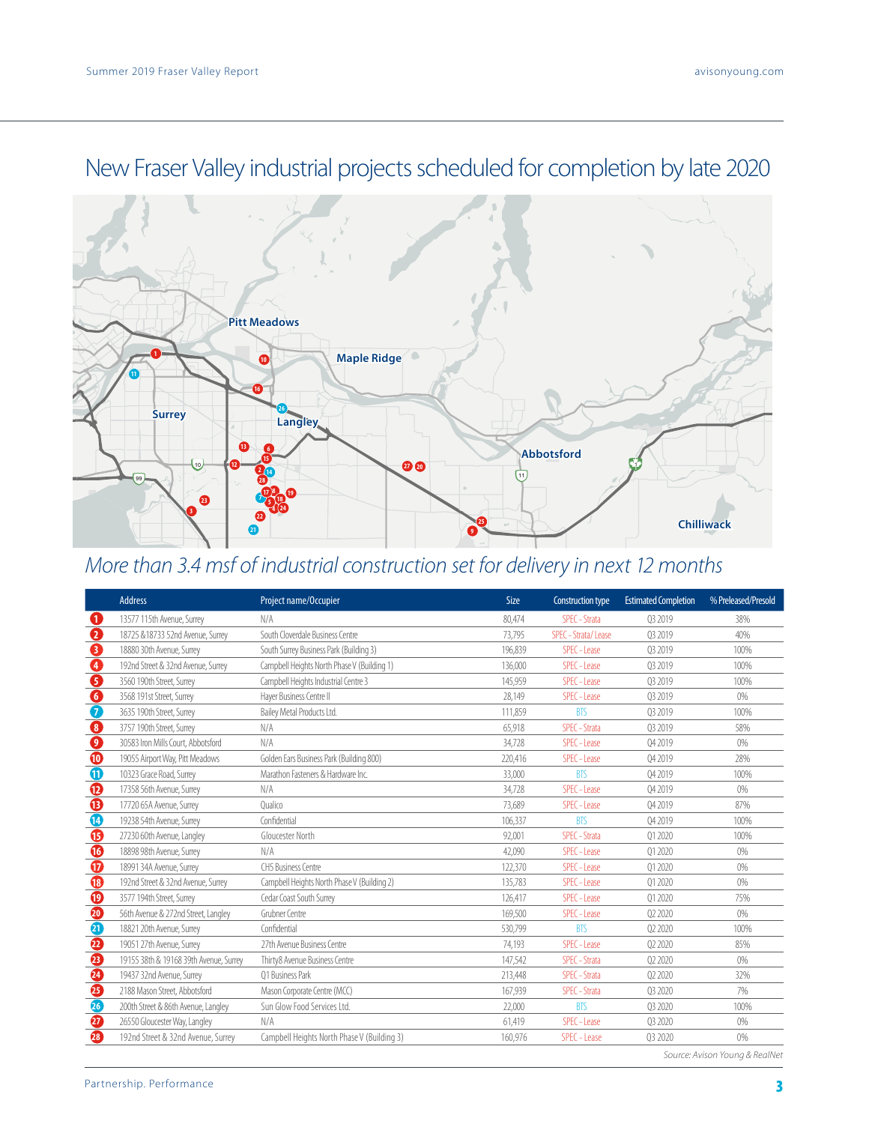

# New Fraser Valley industrial projects scheduled for completion by late 2020

## *More than 3.4 msf of industrial construction set for delivery in next 12 months*

|                     | <b>Address</b>                         | Project name/Occupier                       | Size    | <b>Construction type</b> | <b>Estimated Completion</b> | % Preleased/Presold |
|---------------------|----------------------------------------|---------------------------------------------|---------|--------------------------|-----------------------------|---------------------|
| O                   | 13577 115th Avenue, Surrey             | N/A                                         | 80,474  | SPFC - Strata            | 03 2019                     | 38%                 |
| $\boldsymbol{Q}$    | 18725 & 18733 52nd Avenue, Surrey      | South Cloverdale Business Centre            | 73,795  | SPEC - Strata/Lease      | 03 2019                     | 40%                 |
| ❸                   | 18880 30th Avenue, Surrey              | South Surrey Business Park (Building 3)     | 196,839 | SPEC - Lease             | 03 2019                     | 100%                |
| Ø                   | 192nd Street & 32nd Avenue, Surrey     | Campbell Heights North Phase V (Building 1) | 136,000 | SPEC - Lease             | 03 2019                     | 100%                |
| ❺                   | 3560 190th Street, Surrey              | Campbell Heights Industrial Centre 3        | 145,959 | SPFC - Lease             | 03 2019                     | 100%                |
| 6                   | 3568 191st Street, Surrey              | Hayer Business Centre II                    | 28,149  | SPEC - Lease             | 03 2019                     | 0%                  |
| 6                   | 3635 190th Street, Surrey              | Bailey Metal Products Ltd.                  | 111,859 | <b>BTS</b>               | 03 2019                     | 100%                |
| 0                   | 3757 190th Street. Surrev              | N/A                                         | 65.918  | SPEC - Strata            | 03 2019                     | 58%                 |
| $\bf{O}$            | 30583 Iron Mills Court. Abbotsford     | N/A                                         | 34,728  | SPEC - Lease             | 04 2019                     | 0%                  |
| $\bf \Phi$          | 19055 Airport Way, Pitt Meadows        | Golden Ears Business Park (Building 800)    | 220,416 | SPEC - Lease             | 04 2019                     | 28%                 |
| ❶                   | 10323 Grace Road, Surrey               | Marathon Fasteners & Hardware Inc.          | 33,000  | <b>BTS</b>               | 04 2019                     | 100%                |
| $\boldsymbol{\Phi}$ | 17358 56th Avenue, Surrey              | N/A                                         | 34,728  | SPFC - Lease             | 04 2019                     | 0%                  |
| ⊕                   | 17720 65A Avenue, Surrey               | Oualico                                     | 73,689  | SPEC - Lease             | 04 2019                     | 87%                 |
| $\boldsymbol{\Phi}$ | 19238 54th Avenue, Surrey              | Confidential                                | 106,337 | <b>BTS</b>               | 04 2019                     | 100%                |
| ⊕                   | 27230 60th Avenue, Langley             | Gloucester North                            | 92.001  | SPEC - Strata            | 01 20 20                    | 100%                |
| $\bf \Phi$          | 18898 98th Avenue, Surrey              | N/A                                         | 42.090  | SPEC - Lease             | 01 20 20                    | 0%                  |
| ⊕                   | 18991 34A Avenue, Surrey               | CH5 Business Centre                         | 122,370 | SPEC - Lease             | 01 20 20                    | 0%                  |
| $\bf \Phi$          | 192nd Street & 32nd Avenue, Surrey     | Campbell Heights North Phase V (Building 2) | 135,783 | SPEC - Lease             | 01 20 20                    | 0%                  |
| $\boldsymbol{\Phi}$ | 3577 194th Street, Surrey              | Cedar Coast South Surrey                    | 126.417 | SPEC - Lease             | 01 20 20                    | 75%                 |
| $\bf \Phi$          | 56th Avenue & 272nd Street. Langley    | Grubner Centre                              | 169.500 | SPEC - Lease             | 02 20 20                    | 0%                  |
| ${\bf q}$           | 18821 20th Avenue, Surrey              | Confidential                                | 530,799 | <b>BTS</b>               | 02 20 20                    | 100%                |
| $\bm{\Phi}$         | 19051 27th Avenue, Surrey              | 27th Avenue Business Centre                 | 74,193  | SPEC - Lease             | Q2 2020                     | 85%                 |
| ⊕                   | 19155 38th & 19168 39th Avenue, Surrey | Thirty8 Avenue Business Centre              | 147,542 | SPEC - Strata            | 02 20 20                    | 0%                  |
| ❹                   | 19437 32nd Avenue, Surrey              | 01 Business Park                            | 213,448 | <b>SPEC</b> - Strata     | 02 20 20                    | 32%                 |
| ⊕                   | 2188 Mason Street, Abbotsford          | Mason Corporate Centre (MCC)                | 167,939 | SPEC - Strata            | (32020)                     | 7%                  |
| 26                  | 200th Street & 86th Avenue, Langley    | Sun Glow Food Services Ltd.                 | 22,000  | <b>BTS</b>               | 03 20 20                    | 100%                |
| $\bm{v}$            | 26550 Gloucester Way, Langley          | N/A                                         | 61,419  | SPFC - Lease             | 03 20 20                    | 0%                  |
| 28                  | 192nd Street & 32nd Avenue, Surrey     | Campbell Heights North Phase V (Building 3) | 160.976 | SPEC - Lease             | 03 20 20                    | 0%                  |

*Source: Avison Young & RealNet*